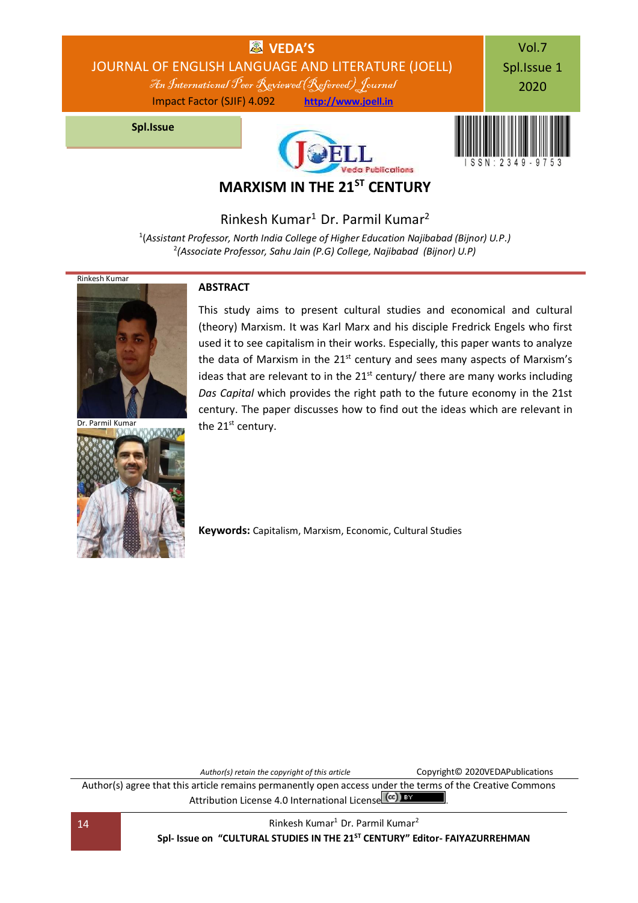

## **MARXISM IN THE 21ST CENTURY**

Rinkesh Kumar<sup>1</sup> Dr. Parmil Kumar<sup>2</sup>

1 (*Assistant Professor, North India College of Higher Education Najibabad (Bijnor) U.P.)* 2 *(Associate Professor, Sahu Jain (P.G) College, Najibabad (Bijnor) U.P)*





### **ABSTRACT**

This study aims to present cultural studies and economical and cultural (theory) Marxism. It was Karl Marx and his disciple Fredrick Engels who first used it to see capitalism in their works. Especially, this paper wants to analyze the data of Marxism in the  $21<sup>st</sup>$  century and sees many aspects of Marxism's ideas that are relevant to in the  $21<sup>st</sup>$  century/ there are many works including *Das Capital* which provides the right path to the future economy in the 21st century. The paper discusses how to find out the ideas which are relevant in the 21<sup>st</sup> century.

**Keywords:** Capitalism, Marxism, Economic, Cultural Studies

Author(s) retain the copyright of this article **Copyright** Copyright<sup>©</sup> 2020VEDAPublications

Author(s) agree that this article remains permanently open access under the terms of the Creative Commons Attribution Lic[e](http://creativecommons.org/licenses/by/4.0/)nse 4.0 International License (CC) BY

14 **14** Rinkesh Kumar<sup>1</sup> Dr. Parmil Kumar<sup>2</sup> **Spl- Issue on "CULTURAL STUDIES IN THE 21ST CENTURY" Editor- FAIYAZURREHMAN**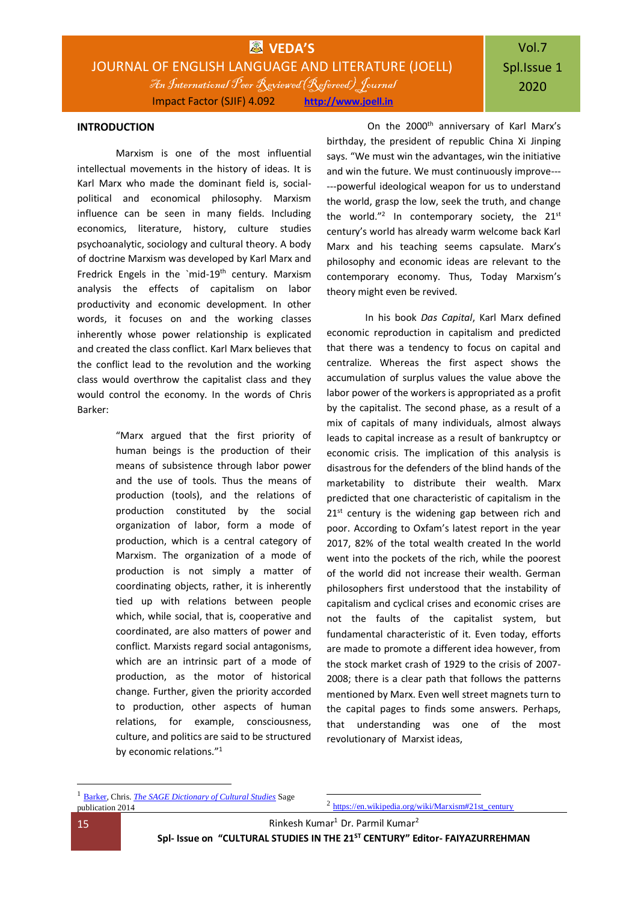## Vol.7 Spl.Issue 1 2020

### **INTRODUCTION**

Marxism is one of the most influential intellectual movements in the history of ideas. It is Karl Marx who made the dominant field is, socialpolitical and economical philosophy. Marxism influence can be seen in many fields. Including economics, literature, history, culture studies psychoanalytic, sociology and cultural theory. A body of doctrine Marxism was developed by Karl Marx and Fredrick Engels in the `mid-19<sup>th</sup> century. Marxism analysis the effects of capitalism on labor productivity and economic development. In other words, it focuses on and the working classes inherently whose power relationship is explicated and created the class conflict. Karl Marx believes that the conflict lead to the revolution and the working class would overthrow the capitalist class and they would control the economy. In the words of Chris Barker:

> "Marx argued that the first priority of human beings is the production of their means of subsistence through labor power and the use of tools. Thus the means of production (tools), and the relations of production constituted by the social organization of labor, form a mode of production, which is a central category of Marxism. The organization of a mode of production is not simply a matter of coordinating objects, rather, it is inherently tied up with relations between people which, while social, that is, cooperative and coordinated, are also matters of power and conflict. Marxists regard social antagonisms, which are an intrinsic part of a mode of production, as the motor of historical change. Further, given the priority accorded to production, other aspects of human relations, for example, consciousness, culture, and politics are said to be structured by economic relations." 1

On the 2000<sup>th</sup> anniversary of Karl Marx's birthday, the president of republic China Xi Jinping says. "We must win the advantages, win the initiative and win the future. We must continuously improve--- ---powerful ideological weapon for us to understand the world, grasp the low, seek the truth, and change the world."<sup>2</sup> In contemporary society, the  $21^{st}$ century's world has already warm welcome back Karl Marx and his teaching seems capsulate. Marx's philosophy and economic ideas are relevant to the contemporary economy. Thus, Today Marxism's theory might even be revived.

In his book *Das Capital*, Karl Marx defined economic reproduction in capitalism and predicted that there was a tendency to focus on capital and centralize. Whereas the first aspect shows the accumulation of surplus values the value above the labor power of the workers is appropriated as a profit by the capitalist. The second phase, as a result of a mix of capitals of many individuals, almost always leads to capital increase as a result of bankruptcy or economic crisis. The implication of this analysis is disastrous for the defenders of the blind hands of the marketability to distribute their wealth. Marx predicted that one characteristic of capitalism in the  $21<sup>st</sup>$  century is the widening gap between rich and poor. According to Oxfam's latest report in the year 2017, 82% of the total wealth created In the world went into the pockets of the rich, while the poorest of the world did not increase their wealth. German philosophers first understood that the instability of capitalism and cyclical crises and economic crises are not the faults of the capitalist system, but fundamental characteristic of it. Even today, efforts are made to promote a different idea however, from the stock market crash of 1929 to the crisis of 2007- 2008; there is a clear path that follows the patterns mentioned by Marx. Even well street magnets turn to the capital pages to finds some answers. Perhaps, that understanding was one of the most revolutionary of Marxist ideas,

2 [https://en.wikipedia.org/wiki/Marxism#21st\\_century](https://en.wikipedia.org/wiki/Marxism#21st_century)

15 **15** Rinkesh Kumar<sup>1</sup> Dr. Parmil Kumar<sup>2</sup>

**Spl- Issue on "CULTURAL STUDIES IN THE 21ST CENTURY" Editor- FAIYAZURREHMAN**

-

-

<sup>1</sup> [Barker,](https://uk.sagepub.com/en-gb/eur/author/chris-barker) Chris. *[The SAGE Dictionary of Cultural Studies](https://uk.sagepub.com/en-gb/eur/the-sage-dictionary-of-cultural-studies/book219252)* Sage publication 2014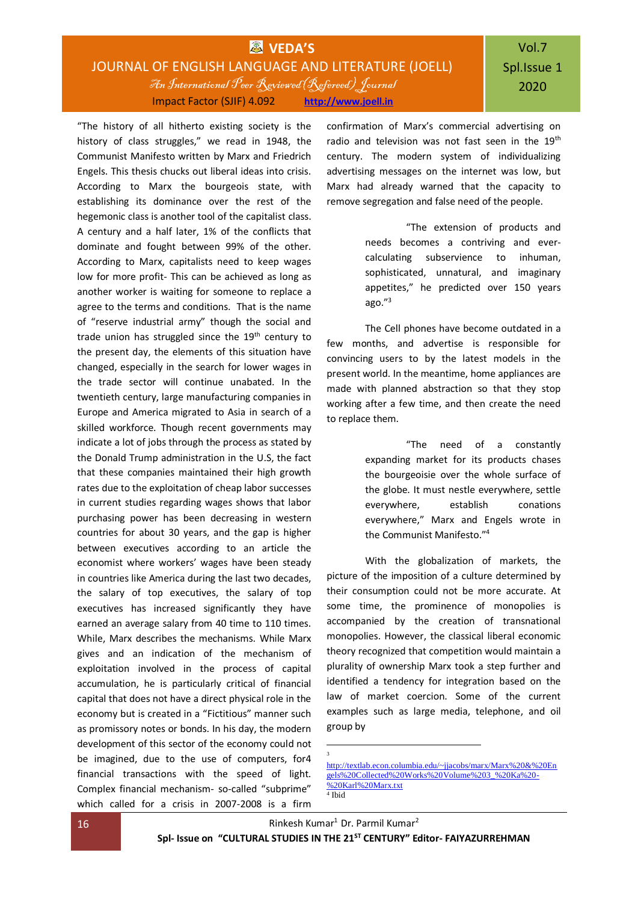### **WEDA'S** JOURNAL OF ENGLISH LANGUAGE AND LITERATURE (JOELL) An International Peer Reviewed(Refereed) Journal Impact Factor (SJIF) 4.092 **[http://www.joell.in](http://www.joell.in/)**

"The history of all hitherto existing society is the history of class struggles," we read in 1948, the Communist Manifesto written by Marx and Friedrich Engels. This thesis chucks out liberal ideas into crisis. According to Marx the bourgeois state, with establishing its dominance over the rest of the hegemonic class is another tool of the capitalist class. A century and a half later, 1% of the conflicts that dominate and fought between 99% of the other. According to Marx, capitalists need to keep wages low for more profit- This can be achieved as long as another worker is waiting for someone to replace a agree to the terms and conditions. That is the name of "reserve industrial army" though the social and trade union has struggled since the  $19<sup>th</sup>$  century to the present day, the elements of this situation have changed, especially in the search for lower wages in the trade sector will continue unabated. In the twentieth century, large manufacturing companies in Europe and America migrated to Asia in search of a skilled workforce. Though recent governments may indicate a lot of jobs through the process as stated by the Donald Trump administration in the U.S, the fact that these companies maintained their high growth rates due to the exploitation of cheap labor successes in current studies regarding wages shows that labor purchasing power has been decreasing in western countries for about 30 years, and the gap is higher between executives according to an article the economist where workers' wages have been steady in countries like America during the last two decades, the salary of top executives, the salary of top executives has increased significantly they have earned an average salary from 40 time to 110 times. While, Marx describes the mechanisms. While Marx gives and an indication of the mechanism of exploitation involved in the process of capital accumulation, he is particularly critical of financial capital that does not have a direct physical role in the economy but is created in a "Fictitious" manner such as promissory notes or bonds. In his day, the modern development of this sector of the economy could not be imagined, due to the use of computers, for4 financial transactions with the speed of light. Complex financial mechanism- so-called "subprime" which called for a crisis in 2007-2008 is a firm confirmation of Marx's commercial advertising on radio and television was not fast seen in the 19<sup>th</sup> century. The modern system of individualizing advertising messages on the internet was low, but Marx had already warned that the capacity to remove segregation and false need of the people.

> "The extension of products and needs becomes a contriving and evercalculating subservience to inhuman, sophisticated, unnatural, and imaginary appetites," he predicted over 150 years ago." 3

The Cell phones have become outdated in a few months, and advertise is responsible for convincing users to by the latest models in the present world. In the meantime, home appliances are made with planned abstraction so that they stop working after a few time, and then create the need to replace them.

> "The need of a constantly expanding market for its products chases the bourgeoisie over the whole surface of the globe. It must nestle everywhere, settle everywhere, establish conations everywhere," Marx and Engels wrote in the Communist Manifesto." 4

With the globalization of markets, the picture of the imposition of a culture determined by their consumption could not be more accurate. At some time, the prominence of monopolies is accompanied by the creation of transnational monopolies. However, the classical liberal economic theory recognized that competition would maintain a plurality of ownership Marx took a step further and identified a tendency for integration based on the law of market coercion. Some of the current examples such as large media, telephone, and oil group by

-3

[http://textlab.econ.columbia.edu/~jjacobs/marx/Marx%20&%20En](http://textlab.econ.columbia.edu/~jjacobs/marx/Marx%20&%20Engels%20Collected%20Works%20Volume%203_%20Ka%20-%20Karl%20Marx.txt) [gels%20Collected%20Works%20Volume%203\\_%20Ka%20-](http://textlab.econ.columbia.edu/~jjacobs/marx/Marx%20&%20Engels%20Collected%20Works%20Volume%203_%20Ka%20-%20Karl%20Marx.txt) [%20Karl%20Marx.txt](http://textlab.econ.columbia.edu/~jjacobs/marx/Marx%20&%20Engels%20Collected%20Works%20Volume%203_%20Ka%20-%20Karl%20Marx.txt) 4 Ibid